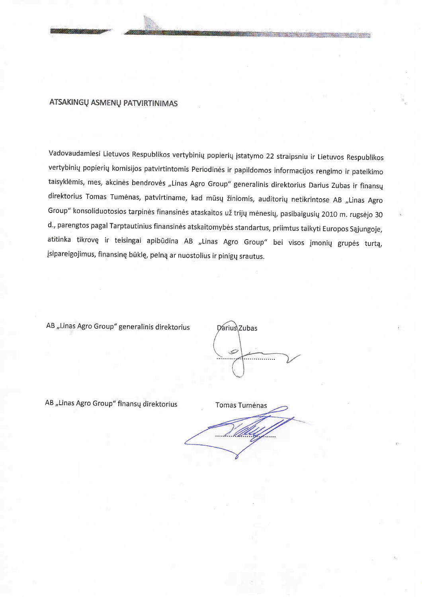## ATSAKINGŲ ASMENŲ PATVIRTINIMAS

Vadovaudamiesi Lietuvos Respublikos vertybinių popierių įstatymo 22 straipsniu ir Lietuvos Respublikos vertybinių popierių komisijos patvirtintomis Periodinės ir papildomos informacijos rengimo ir pateikimo taisyklėmis, mes, akcinės bendrovės "Linas Agro Group" generalinis direktorius Darius Zubas ir finansų direktorius Tomas Tumėnas, patvirtiname, kad mūsų žiniomis, auditorių netikrintose AB "Linas Agro Group" konsoliduotosios tarpinės finansinės ataskaitos už trijų mėnesių, pasibaigusių 2010 m. rugsėjo 30 d., parengtos pagal Tarptautinius finansinės atskaitomybės standartus, priimtus taikyti Europos Sąjungoje, atitinka tikrovę ir teisingai apibūdina AB "Linas Agro Group" bei visos įmonių grupės turtą, įsipareigojimus, finansinę būklę, pelną ar nuostolius ir pinigų srautus.

AB "Linas Agro Group" generalinis direktorius

Darius Zubas Ő

AB "Linas Agro Group" finansų direktorius

**Tomas Tumėnas**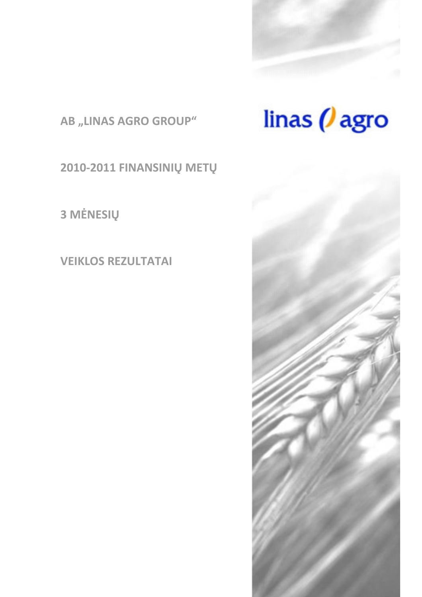

AB "LINAS AGRO GROUP"

2010-2011 FINANSINIŲ METŲ

3 MĖNESIŲ

**VEIKLOS REZULTATAI** 



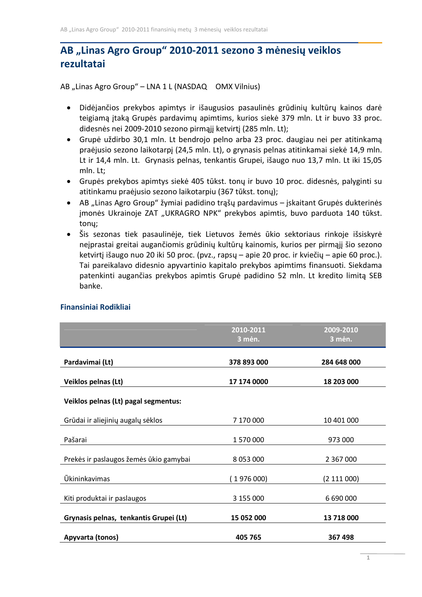# AB "Linas Agro Group" 2010-2011 sezono 3 mėnesių veiklos rezultatai

AB "Linas Agro Group" - LNA 1 L (NASDAQ OMX Vilnius)

- · Didėjančios prekybos apimtys ir išaugusios pasaulinės grūdinių kultūrų kainos darė teigiamą įtaką Grupės pardavimų apimtims, kurios siekė 379 mln. Lt ir buvo 33 proc. didesnės nei 2009-2010 sezono pirmąjį ketvirtį (285 mln. Lt);
- Grupė uždirbo 30,1 mln. Lt bendrojo pelno arba 23 proc. daugiau nei per atitinkamą praėjusio sezono laikotarpį (24,5 mln. Lt), o grynasis pelnas atitinkamai siekė 14,9 mln. Lt ir 14,4 mln. Lt. Grynasis pelnas, tenkantis Grupei, išaugo nuo 13,7 mln. Lt iki 15,05 mln. Lt:
- Grupės prekybos apimtys siekė 405 tūkst. tonų ir buvo 10 proc. didesnės, palyginti su atitinkamu praėjusio sezono laikotarpiu (367 tūkst. tonų);
- AB "Linas Agro Group" žymiai padidino trąšų pardavimus įskaitant Grupės dukterinės jmonės Ukrainoje ZAT "UKRAGRO NPK" prekybos apimtis, buvo parduota 140 tūkst. tony;
- Šis sezonas tiek pasaulinėje, tiek Lietuvos žemės ūkio sektoriaus rinkoje išsiskyrė neįprastai greitai augančiomis grūdinių kultūrų kainomis, kurios per pirmąjį šio sezono ketvirtį išaugo nuo 20 iki 50 proc. (pvz., rapsų – apie 20 proc. ir kviečių – apie 60 proc.). Tai pareikalavo didesnio apyvartinio kapitalo prekybos apimtims finansuoti. Siekdama patenkinti augančias prekybos apimtis Grupė padidino 52 mln. Lt kredito limita SEB banke.

|                                        | 2010-2011<br>3 mėn. | 2009-2010<br>3 mėn. |
|----------------------------------------|---------------------|---------------------|
| Pardavimai (Lt)                        | 378 893 000         | 284 648 000         |
| Veiklos pelnas (Lt)                    | 17 174 0000         | 18 203 000          |
| Veiklos pelnas (Lt) pagal segmentus:   |                     |                     |
| Grūdai ir aliejinių augalų sėklos      | 7 170 000           | 10 401 000          |
| Pašarai                                | 1570000             | 973 000             |
| Prekės ir paslaugos žemės ūkio gamybai | 8 0 53 0 00         | 2 3 6 7 0 0 0       |
| <b>Ūkininkavimas</b>                   | 1976000             | (2 111 000)         |
| Kiti produktai ir paslaugos            | 3 155 000           | 6 690 000           |
| Grynasis pelnas, tenkantis Grupei (Lt) | 15 052 000          | 13 718 000          |
| Apyvarta (tonos)                       | 405 765             | 367 498             |

# **Finansiniai Rodikliai**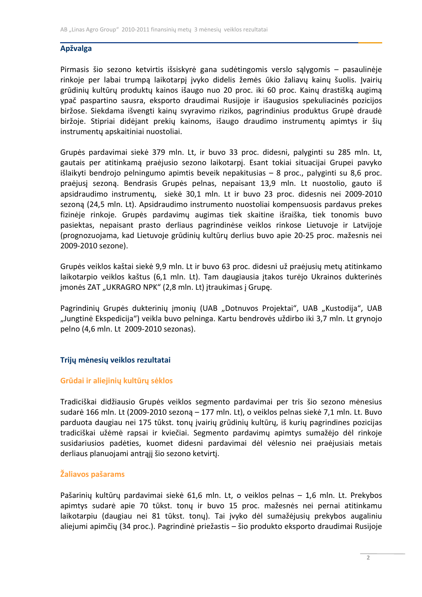# **Apžvalga**

Pirmasis šio sezono ketvirtis išsiskyrė gana sudėtingomis verslo sąlygomis - pasaulinėje rinkoje per labai trumpą laikotarpį įvyko didelis žemės ūkio žaliavų kainų šuolis. Įvairių grūdinių kultūrų produktų kainos išaugo nuo 20 proc. iki 60 proc. Kainų drastišką augimą ypač paspartino sausra, eksporto draudimai Rusijoje ir išaugusios spekuliacinės pozicijos biržose. Siekdama išvengti kainų svyravimo rizikos, pagrindinius produktus Grupė draudė biržoje. Stipriai didėjant prekių kainoms, išaugo draudimo instrumentų apimtys ir šių instrumentų apskaitiniai nuostoliai.

Grupės pardavimai siekė 379 mln. Lt, ir buvo 33 proc. didesni, palyginti su 285 mln. Lt, gautais per atitinkamą praėjusio sezono laikotarpį. Esant tokiai situacijai Grupei pavyko išlaikyti bendrojo pelningumo apimtis beveik nepakitusias – 8 proc., palyginti su 8,6 proc. praėjusį sezoną. Bendrasis Grupės pelnas, nepaisant 13,9 mln. Lt nuostolio, gauto iš apsidraudimo instrumenty, siekė 30,1 mln. Lt ir buvo 23 proc. didesnis nei 2009-2010 sezoną (24,5 mln. Lt). Apsidraudimo instrumento nuostoliai kompensuosis pardavus prekes fizinėje rinkoje. Grupės pardavimų augimas tiek skaitine išraiška, tiek tonomis buvo pasiektas, nepaisant prasto derliaus pagrindinėse veiklos rinkose Lietuvoje ir Latvijoje (prognozuojama, kad Lietuvoje grūdinių kultūrų derlius buvo apie 20-25 proc. mažesnis nei 2009-2010 sezone).

Grupės veiklos kaštai siekė 9,9 mln. Lt ir buvo 63 proc. didesni už praėjusių metų atitinkamo laikotarpio veiklos kaštus (6,1 mln. Lt). Tam daugiausia įtakos turėjo Ukrainos dukterinės jmonės ZAT "UKRAGRO NPK" (2,8 mln. Lt) įtraukimas į Grupę.

Pagrindinių Grupės dukterinių įmonių (UAB "Dotnuvos Projektai", UAB "Kustodija", UAB "Jungtinė Ekspedicija") veikla buvo pelninga. Kartu bendrovės uždirbo iki 3,7 mln. Lt grynojo pelno (4,6 mln. Lt 2009-2010 sezonas).

# Trijų mėnesių veiklos rezultatai

# Grūdai ir aliejinių kultūrų sėklos

Tradiciškai didžiausio Grupės veiklos segmento pardavimai per tris šio sezono mėnesius sudarė 166 mln. Lt (2009-2010 sezoną – 177 mln. Lt), o veiklos pelnas siekė 7,1 mln. Lt. Buvo parduota daugiau nei 175 tūkst. tonų įvairių grūdinių kultūrų, iš kurių pagrindines pozicijas tradiciškai užėmė rapsai ir kviečiai. Segmento pardavimų apimtys sumažėjo dėl rinkoje susidariusios padėties, kuomet didesni pardavimai dėl vėlesnio nei praėjusiais metais derliaus planuojami antrąjį šio sezono ketvirtį.

# Žaliavos pašarams

Pašarinių kultūrų pardavimai siekė 61,6 mln. Lt, o veiklos pelnas - 1,6 mln. Lt. Prekybos apimtys sudarė apie 70 tūkst. tonų ir buvo 15 proc. mažesnės nei pernai atitinkamu laikotarpiu (daugiau nei 81 tūkst. tonų). Tai jvyko dėl sumažėjusių prekybos augaliniu aliejumi apimčių (34 proc.). Pagrindinė priežastis – šio produkto eksporto draudimai Rusijoje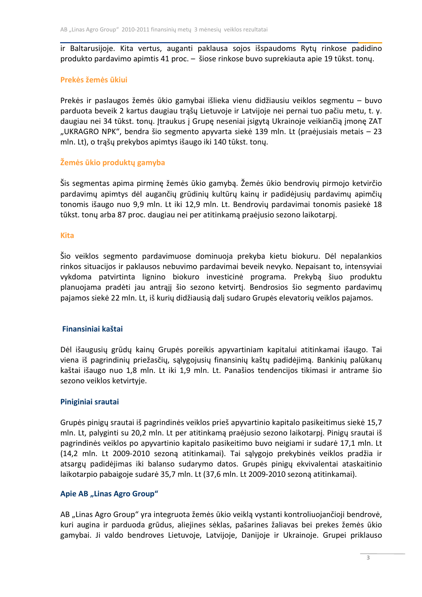ir Baltarusijoje. Kita vertus, auganti paklausa sojos išspaudoms Rytų rinkose padidino produkto pardavimo apimtis 41 proc. - šiose rinkose buvo suprekiauta apie 19 tūkst. tony.

## Prekės žemės ūkiui

Prekės ir paslaugos žemės ūkio gamybai išlieka vienu didžiausiu veiklos segmentu – buvo parduota beveik 2 kartus daugiau trąšų Lietuvoje ir Latvijoje nei pernai tuo pačiu metu, t. y. daugiau nei 34 tūkst. tonų. Įtraukus į Grupę neseniai įsigytą Ukrainoje veikiančią įmonę ZAT "UKRAGRO NPK", bendra šio segmento apyvarta siekė 139 mln. Lt (praėjusiais metais – 23 mln. Lt), o trąšų prekybos apimtys išaugo iki 140 tūkst. tonų.

## Žemės ūkio produktų gamyba

Šis segmentas apima pirminę žemės ūkio gamybą. Žemės ūkio bendrovių pirmojo ketvirčio pardavimų apimtys dėl augančių grūdinių kultūrų kainų ir padidėjusių pardavimų apimčių tonomis išaugo nuo 9,9 mln. Lt iki 12,9 mln. Lt. Bendrovių pardavimai tonomis pasiekė 18 tūkst. tonų arba 87 proc. daugiau nei per atitinkamą praėjusio sezono laikotarpį.

#### **Kita**

Šio veiklos segmento pardavimuose dominuoja prekyba kietu biokuru. Dėl nepalankios rinkos situacijos ir paklausos nebuvimo pardavimai beveik nevyko. Nepaisant to, intensyviai vykdoma patvirtinta lignino biokuro investicinė programa. Prekybą šiuo produktu planuojama pradėti jau antrąjį šio sezono ketvirtį. Bendrosios šio segmento pardavimų pajamos siekė 22 mln. Lt, iš kurių didžiausią dalį sudaro Grupės elevatorių veiklos pajamos.

# Finansiniai kaštai

Dėl išaugusių grūdų kainų Grupės poreikis apyvartiniam kapitalui atitinkamai išaugo. Tai viena iš pagrindinių priežasčių, sąlygojusių finansinių kaštų padidėjimą. Bankinių palūkanų kaštai išaugo nuo 1,8 mln. Lt iki 1,9 mln. Lt. Panašios tendencijos tikimasi ir antrame šio sezono veiklos ketvirtyje.

#### Piniginiai srautai

Grupės pinigų srautai iš pagrindinės veiklos prieš apyvartinio kapitalo pasikeitimus siekė 15,7 mln. Lt, palyginti su 20,2 mln. Lt per atitinkamą praėjusio sezono laikotarpį. Pinigų srautai iš pagrindinės veiklos po apyvartinio kapitalo pasikeitimo buvo neigiami ir sudarė 17,1 mln. Lt (14,2 mln. Lt 2009-2010 sezoną atitinkamai). Tai sąlygojo prekybinės veiklos pradžia ir atsargų padidėjimas iki balanso sudarymo datos. Grupės pinigų ekvivalentai ataskaitinio laikotarpio pabaigoje sudarė 35,7 mln. Lt (37,6 mln. Lt 2009-2010 sezoną atitinkamai).

# Apie AB "Linas Agro Group"

AB "Linas Agro Group" yra integruota žemės ūkio veiklą vystanti kontroliuojančioji bendrovė, kuri augina ir parduoda grūdus, aliejines sėklas, pašarines žaliavas bei prekes žemės ūkio gamybai. Ji valdo bendroves Lietuvoje, Latvijoje, Danijoje ir Ukrainoje. Grupei priklauso